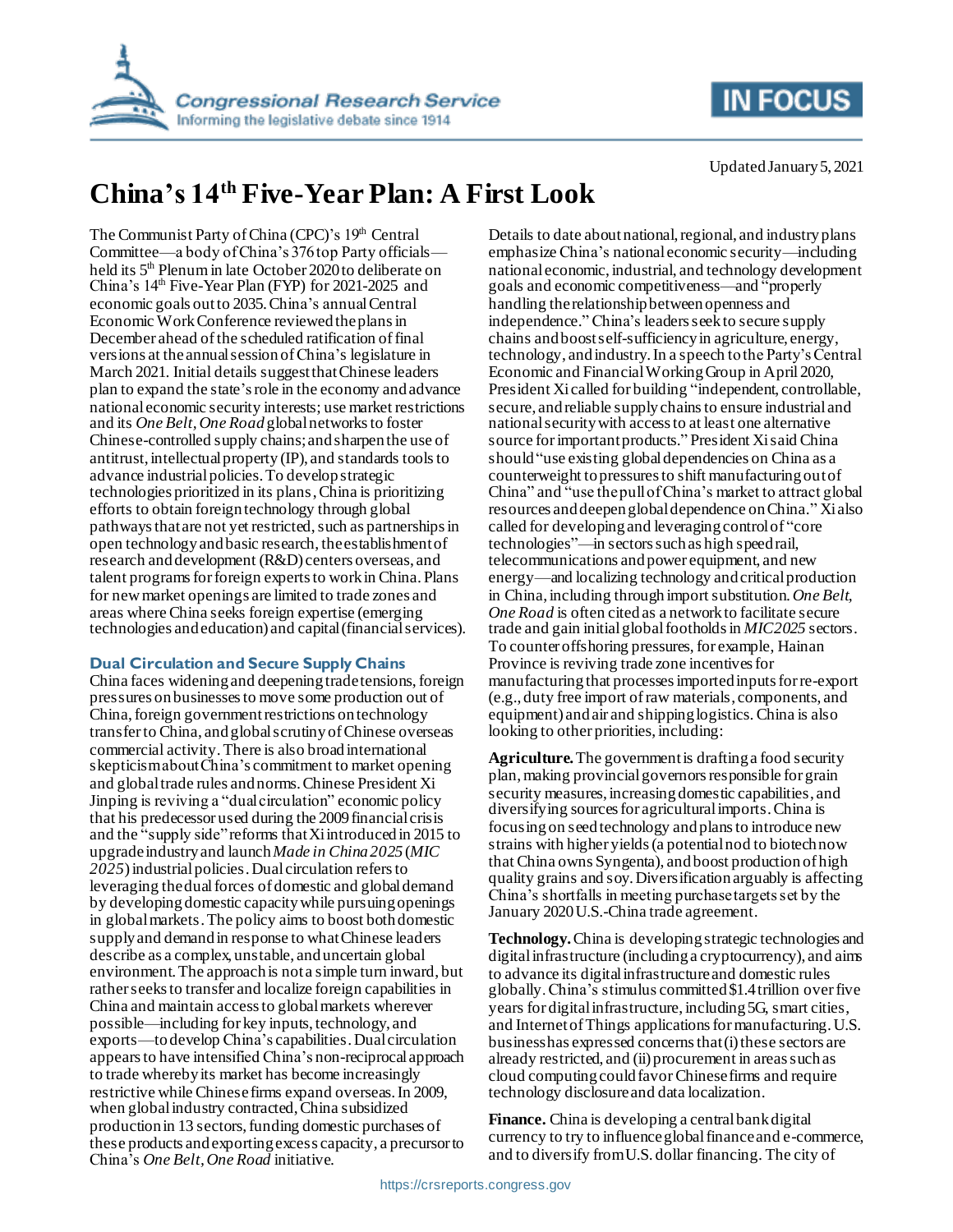



Updated January 5, 2021

# **China's 14th Five-Year Plan: A First Look**

The Communist Party of China (CPC)'s 19th Central Committee—a body of China's 376 top Party officials held its 5<sup>th</sup> Plenum in late October 2020 to deliberate on China's 14<sup>th</sup> Five-Year Plan (FYP) for 2021-2025 and economic goals outto 2035. China's annual Central Economic Work Conference reviewedthe plansin December ahead of the scheduled ratification of final versions at the annual session of China's legislature in March 2021. Initial details suggest that Chinese leaders plan to expand the state'srole in the economy and advance national economic security interests; use market restrictions and its *One Belt, One Road* global networks to foster Chinese-controlled supply chains;and sharpenthe use of antitrust, intellectual property (IP), and standards toolsto advance industrial policies.To develop strategic technologies prioritized in its plans,China is prioritizing efforts to obtain foreign technology through global pathways that are not yet restricted, such as partnerships in open technology and basic research, the establishment of research and development (R&D) centers overseas, and talent programs for foreign experts to work in China. Plans for new market openings are limited to trade zones and areas where China seeks foreign expertise (emerging technologies and education) and capital (financial services).

### **Dual Circulation and Secure Supply Chains**

China faces widening and deepening trade tensions, foreign pressures on businessesto move some production out of China, foreign government restrictions on technology transfer to China, and global scrutiny of Chinese overseas commercial activity. There is also broad international skepticism about China's commitment to market opening and global trade rules and norms. Chinese President Xi Jinping is reviving a "dual circulation" economic policy that his predecessor used during the 2009 financial crisis and the "supply side"reforms that Xi introduced in 2015 to upgrade industry and launch *Made in China 2025* (*MIC* 2025) industrial policies. Dual circulation refers to leveraging the dual forces of domestic and global demand by developing domestic capacity while pursuing openings in global markets. The policy aims to boost both domestic supply and demand in response to what Chinese leaders describe as a complex, unstable, and uncertain global environment. The approach is not a simple turn inward, but rather seeks to transfer and localize foreign capabilities in China and maintain access to global markets wherever possible—including for key inputs, technology, and exports—to develop China's capabilities.Dual circulation appears to have intensified China's non-reciprocal approach to trade whereby its market has become increasingly restrictive while Chinese firms expand overseas.In 2009, when global industry contracted, China subsidized production in 13 sectors, funding domestic purchases of these products and exporting excess capacity, a precursor to China's *One Belt, One Road* initiative.

Details to date about national, regional, and industry plans emphasize China's national economic security—including national economic, industrial, and technology development goals and economic competitiveness—and "properly handling the relationship between openness and independence." China's leaders seek to secure supply chains and boostself-sufficiency in agriculture, energy, technology, and industry. In a speech to the Party's Central Economic and Financial Working Group in April 2020, President Xi called for building "independent, controllable, secure, and reliable supply chains to ensure industrial and national security with access to at least one alternative source for important products." President Xi said China should "use existing global dependencies on China as a counterweight to pressures to shift manufacturing out of China" and "use the pull of China's market to attract global resources and deepen global dependence on China." Xi also called for developing and leveraging control of "core technologies"—in sectors such as high speed rail, telecommunications and power equipment, and new energy—and localizing technology and critical production in China, including through import substitution.*One Belt, One Road* is often cited as a network to facilitate secure trade and gain initial global footholdsin *MIC2025* sectors. To counter offshoring pressures, for example, Hainan Province is reviving trade zone incentives for manufacturing that processes imported inputs for re-export (e.g., duty free import of raw materials, components, and equipment) and air and shipping logistics. China is also looking to other priorities, including:

**Agriculture.**The governmentis drafting a food security plan, making provincial governors responsible for grain security measures, increasing domestic capabilities, and diversifying sources for agricultural imports. China is focusing on seed technology andplans to introduce new strains with higher yields (a potential nod to biotech now that China owns Syngenta), and boost production of high quality grains and soy. Diversificationarguably is affecting China's shortfalls in meeting purchase targets set by the January 2020 U.S.-China trade agreement.

**Technology.**China is developing strategic technologies and digital infrastructure (including a cryptocurrency), and aims to advance its digitalinfrastructure and domestic rules globally. China's stimulus committed \$1.4 trillion over five years for digital infrastructure, including 5G, smart cities, and Internet of Things applications for manufacturing. U.S. business has expressed concerns that (i) these sectors are already restricted, and (ii) procurement in areas such as cloud computing could favorChinese firms and require technology disclosure and data localization.

**Finance.** China is developing a central bank digital currency to try to influence global finance and e-commerce, and to diversify from U.S. dollar financing. The city of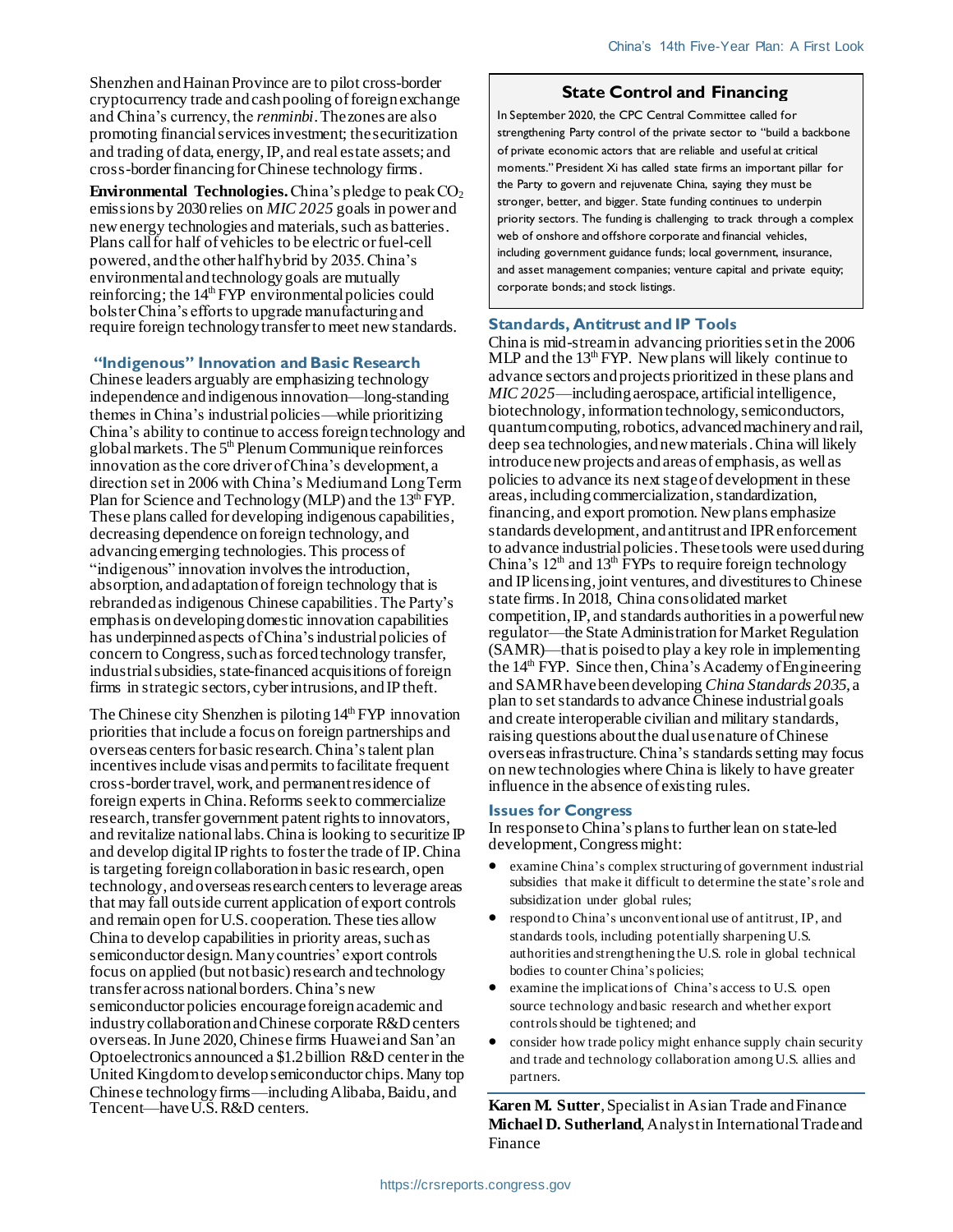Shenzhen and Hainan Province are to pilot cross-border cryptocurrency trade and cash pooling of foreign exchange and China's currency, the *renminbi*.The zones are also promoting financial services investment; the securitization and trading of data, energy, IP, and real estate assets; and cross-border financing for Chinese technology firms.

**Environmental Technologies.** China's pledge to peak  $CO<sub>2</sub>$ emissions by 2030 relies on *MIC 2025* goals in power and new energy technologies and materials, such as batteries. Plans call for half of vehicles to be electric or fuel-cell powered, and the other half hybrid by 2035. China's environmental and technology goals are mutually reinforcing; the  $14<sup>th</sup> FYP$  environmental policies could bolster China's efforts to upgrade manufacturing and require foreign technology transfer to meet new standards.

#### **"Indigenous" Innovation and Basic Research**

Chinese leaders arguably are emphasizing technology independence and indigenous innovation—long-standing themes in China's industrial policies—while prioritizing China's ability to continue to access foreign technology and global markets. The  $5<sup>th</sup>$  Plenum Communique reinforces innovation as the core driver of China's development, a direction set in 2006 with China's Medium and Long Term Plan for Science and Technology (MLP) and the  $13<sup>th</sup> FYP$ . These plans called for developing indigenous capabilities, decreasing dependence on foreign technology, and advancing emerging technologies. This process of "indigenous" innovation involves the introduction, absorption, and adaptationof foreign technology that is rebranded as indigenous Chinese capabilities. The Party's emphasis on developing domestic innovation capabilities has underpinned aspects of China's industrial policies of concern to Congress, such as forced technology transfer, industrial subsidies, state-financed acquisitions of foreign firms in strategic sectors, cyber intrusions, and IP theft.

The Chinese city Shenzhen is piloting  $14<sup>th</sup> FYP$  innovation priorities that include a focus on foreign partnerships and overseas centersfor basic research. China's talent plan incentives include visas and permits to facilitate frequent cross-border travel, work, and permanent residence of foreign experts in China. Reforms seek to commercialize research, transfer government patent rights to innovators, and revitalize national labs. China is looking to securitize IP and develop digital IP rights to foster the trade of IP.China is targeting foreign collaboration in basic research, open technology, andoverseas research centersto leverage areas that may fall outside current application of export controls and remain open for U.S. cooperation. These ties allow China to develop capabilities in priority areas, such as semiconductor design. Many countries' export controls focus on applied (but not basic) research and technology transfer across national borders. China's new semiconductor policies encourage foreign academic and industry collaboration and Chinese corporate R&D centers overseas. In June 2020, Chinese firms Huawei and San'an Optoelectronics announced a \$1.2 billion R&D center in the United Kingdomto develop semiconductor chips. Many top Chinese technology firms—including Alibaba, Baidu, and Tencent—haveU.S. R&D centers.

#### **State Control and Financing**

In September 2020, the CPC Central Committee called for strengthening Party control of the private sector to "build a backbone of private economic actors that are reliable and useful at critical moments." President Xi has called state firms an important pillar for the Party to govern and rejuvenate China, saying they must be stronger, better, and bigger. State funding continues to underpin priority sectors. The funding is challenging to track through a complex web of onshore and offshore corporate and financial vehicles, including government guidance funds; local government, insurance, and asset management companies; venture capital and private equity; corporate bonds; and stock listings.

#### **Standards, Antitrust and IP Tools**

China is mid-stream in advancing priorities set in the 2006 MLP and the  $13<sup>th</sup> FYP$ . New plans will likely continue to advance sectors and projects prioritized in these plans and *MIC 2025*—including aerospace, artificial intelligence, biotechnology, information technology, semiconductors, quantum computing, robotics, advanced machinery and rail, deep sea technologies, and new materials. China will likely introduce new projects and areas of emphasis, as well as policies to advance its next stage of development in these areas, including commercialization, standardization, financing, and export promotion. New plans emphasize standards development, andantitrust and IPRenforcement to advance industrial policies. These tools were used during China's  $12<sup>th</sup>$  and  $13<sup>th</sup>$  FYPs to require foreign technology and IP licensing, joint ventures, and divestitures to Chinese state firms. In 2018, China consolidated market competition, IP, and standards authorities in a powerful new regulator—the State Administration for Market Regulation (SAMR)—that is poised to play a key role in implementing the 14<sup>th</sup> FYP. Since then, China's Academy of Engineering and SAMR havebeen developing *China Standards 2035,* a plan to set standards to advance Chinese industrial goals and create interoperable civilian and military standards, raising questions about the dual use nature of Chinese overseas infrastructure. China's standards setting may focus on new technologies where China is likely to have greater influence in the absence of existing rules.

#### **Issues for Congress**

In response to China's plans to further lean on state-led development, Congress might:

- examine China's complex structuring of government industrial subsidies that make it difficult to determine the state's role and subsidization under global rules;
- respond to China's unconventional use of antitrust, IP, and standards tools, including potentially sharpeningU.S. authorities and strengthening the U.S. role in global technical bodies to counter China's policies;
- examine the implications of China's access to U.S. open source technology and basic research and whether export controls should be tightened; and
- consider how trade policy might enhance supply chain security and trade and technology collaboration among U.S. allies and partners.

**Karen M. Sutter**, Specialist in Asian Trade and Finance **Michael D. Sutherland**, Analyst in International Trade and Finance